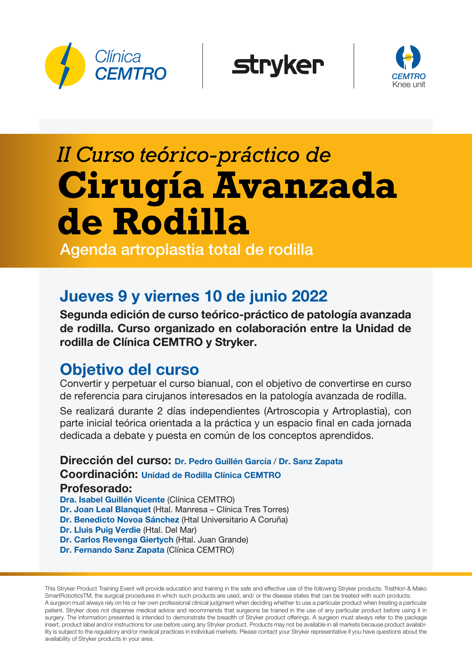





# *II Curso teórico-práctico de* **Cirugía Avanzada de Rodilla**

Agenda artroplastia total de rodilla

## Jueves 9 y viernes 10 de junio 2022

Segunda edición de curso teórico-práctico de patología avanzada de rodilla. Curso organizado en colaboración entre la Unidad de rodilla de Clínica CEMTRO y Stryker.

### Objetivo del curso

Convertir y perpetuar el curso bianual, con el objetivo de convertirse en curso de referencia para cirujanos interesados en la patología avanzada de rodilla.

Se realizará durante 2 días independientes (Artroscopia y Artroplastia), con parte inicial teórica orientada a la práctica y un espacio final en cada jornada dedicada a debate y puesta en común de los conceptos aprendidos.

Dirección del curso: Dr. Pedro Guillén García / Dr. Sanz Zapata Coordinación: Unidad de Rodilla Clínica CEMTRO Profesorado: Dra. Isabel Guillén Vicente (Clínica CEMTRO) Dr. Joan Leal Blanquet (Htal. Manresa – Clínica Tres Torres) Dr. Benedicto Novoa Sánchez (Htal Universitario A Coruña)

Dr. Lluis Puig Verdie (Htal. Del Mar)

Dr. Carlos Revenga Giertych (Htal. Juan Grande)

Dr. Fernando Sanz Zapata (Clínica CEMTRO)

This Stryker Product Training Event will provide education and training in the safe and effective use of the following Stryker products: Triathlon & Mako SmartRoboticsTM, the surgical procedures in which such products are used, and/ or the disease states that can be treated with such products. A surgeon must always rely on his or her own professional clinical judgment when deciding whether to use a particular product when treating a particular patient. Stryker does not dispense medical advice and recommends that surgeons be trained in the use of any particular product before using it in surgery. The information presented is intended to demonstrate the breadth of Stryker product offerings. A surgeon must always refer to the package insert, product label and/or instructions for use before using any Stryker product. Products may not be available in all markets because product availability is subject to the regulatory and/or medical practices in individual markets. Please contact your Stryker representative if you have questions about the availability of Stryker products in your area.